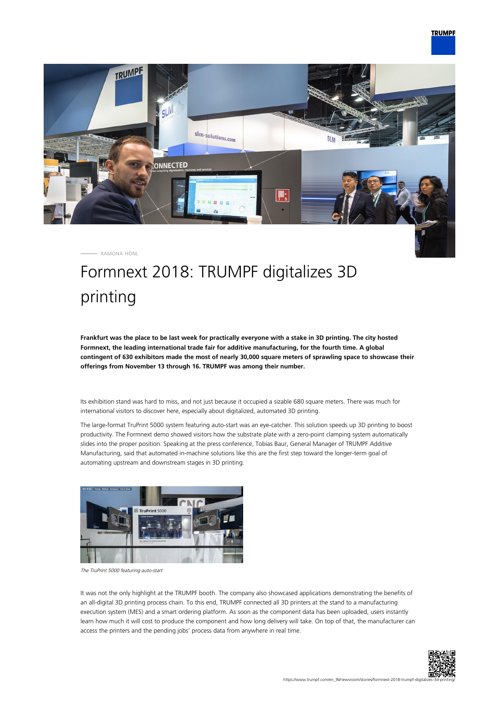

RAMONA HÖNL

## Formnext 2018: TRUMPF digitalizes 3D printing

**Frankfurt was the place to be last week for practically everyone with a stake in 3D printing. The city hosted Formnext, the leading international trade fair for additive manufacturing, for the fourth time. A global contingent of 630 exhibitors made the most of nearly 30,000 square meters of sprawling space to showcase their offerings from November 13 through 16. TRUMPF was among their number.**

Its exhibition stand was hard to miss, and not just because it occupied a sizable 680 square meters. There was much for international visitors to discover here, especially about digitalized, automated 3D printing.

The large-format TruPrint 5000 system featuring auto-start was an eye-catcher. This solution speeds up 3D printing to boost productivity. The Formnext demo showed visitors how the substrate plate with a zero-point clamping system automatically slides into the proper position. Speaking at the press conference, Tobias Baur, General Manager of TRUMPF Additive Manufacturing, said that automated in-machine solutions like this are the first step toward the longer-term goal of automating upstream and downstream stages in 3D printing.



The TruPrint 5000 featuring auto-start

It was not the only highlight at the TRUMPF booth. The company also showcased applications demonstrating the benefits of an all-digital 3D printing process chain. To this end, TRUMPF connected all 3D printers at the stand to a manufacturing execution system (MES) and a smart ordering platform. As soon as the component data has been uploaded, users instantly learn how much it will cost to produce the component and how long delivery will take. On top of that, the manufacturer can access the printers and the pending jobs' process data from anywhere in real time.